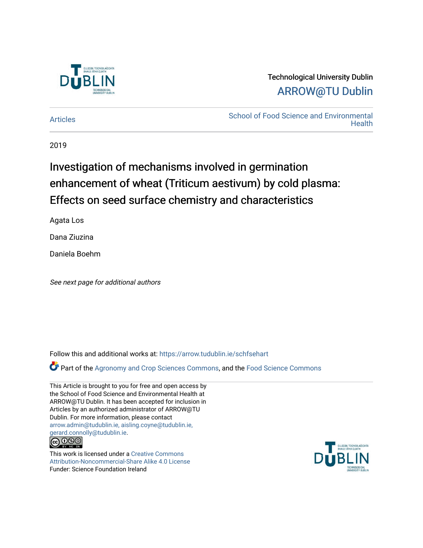

# Technological University Dublin [ARROW@TU Dublin](https://arrow.tudublin.ie/)

[Articles](https://arrow.tudublin.ie/schfsehart) **School of Food Science and Environmental Health** 

2019

# Investigation of mechanisms involved in germination enhancement of wheat (Triticum aestivum) by cold plasma: Effects on seed surface chemistry and characteristics

Agata Los

Dana Ziuzina

Daniela Boehm

See next page for additional authors

Follow this and additional works at: [https://arrow.tudublin.ie/schfsehart](https://arrow.tudublin.ie/schfsehart?utm_source=arrow.tudublin.ie%2Fschfsehart%2F421&utm_medium=PDF&utm_campaign=PDFCoverPages) 

Part of the [Agronomy and Crop Sciences Commons,](http://network.bepress.com/hgg/discipline/103?utm_source=arrow.tudublin.ie%2Fschfsehart%2F421&utm_medium=PDF&utm_campaign=PDFCoverPages) and the [Food Science Commons](http://network.bepress.com/hgg/discipline/84?utm_source=arrow.tudublin.ie%2Fschfsehart%2F421&utm_medium=PDF&utm_campaign=PDFCoverPages)

This Article is brought to you for free and open access by the School of Food Science and Environmental Health at ARROW@TU Dublin. It has been accepted for inclusion in Articles by an authorized administrator of ARROW@TU Dublin. For more information, please contact [arrow.admin@tudublin.ie, aisling.coyne@tudublin.ie,](mailto:arrow.admin@tudublin.ie,%20aisling.coyne@tudublin.ie,%20gerard.connolly@tudublin.ie)  [gerard.connolly@tudublin.ie](mailto:arrow.admin@tudublin.ie,%20aisling.coyne@tudublin.ie,%20gerard.connolly@tudublin.ie).<br>@090

This work is licensed under a [Creative Commons](http://creativecommons.org/licenses/by-nc-sa/4.0/) [Attribution-Noncommercial-Share Alike 4.0 License](http://creativecommons.org/licenses/by-nc-sa/4.0/) Funder: Science Foundation Ireland

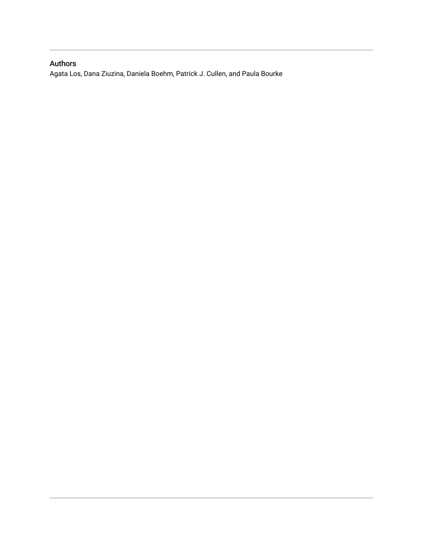# Authors

Agata Los, Dana Ziuzina, Daniela Boehm, Patrick J. Cullen, and Paula Bourke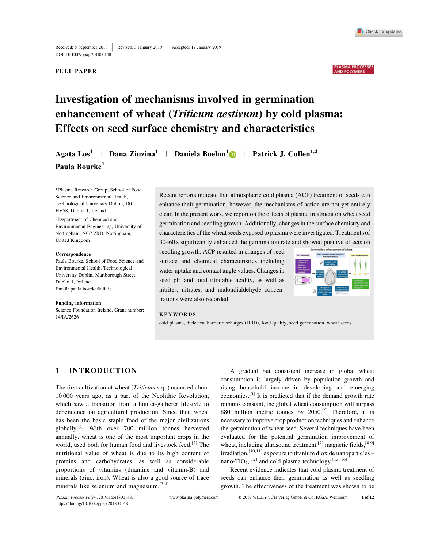

#### **FULL PAPER**

#### PLASMA PROCESSE **AND POLYMERS**

# **Investigation of mechanisms involved in germination enhancement of wheat (***Triticum aestivum***) by cold plasma: Effects on seed surface chemistry and characteristics**

|                           |  |  | Agata $\text{Los}^1$   Dana Ziuzina <sup>1</sup>   Daniela Boehm <sup>1</sup> D   Patrick J. Cullen <sup>1,2</sup> |  |
|---------------------------|--|--|--------------------------------------------------------------------------------------------------------------------|--|
| Paula Bourke <sup>1</sup> |  |  |                                                                                                                    |  |

1 Plasma Research Group, School of Food Science and Environmental Health, Technological University Dublin, D01 HV58, Dublin 1, Ireland

2 Department of Chemical and Environmental Engineering, University of Nottingham, NG7 2RD, Nottingham, United Kingdom

#### **Correspondence**

Paula Bourke, School of Food Science and Environmental Health, Technological University Dublin, Marlborough Street, Dublin 1, Ireland. Email: paula.bourke@dit.ie

**Funding information** Science Foundation Ireland, Grant number: 14/IA/2626

Recent reports indicate that atmospheric cold plasma (ACP) treatment of seeds can enhance their germination, however, the mechanisms of action are not yet entirely clear. In the present work, we report on the effects of plasma treatment on wheat seed germination and seedling growth. Additionally, changes in the surface chemistry and characteristics of the wheat seeds exposed to plasma were investigated. Treatments of 30–60 s significantly enhanced the germination rate and showed positive effects on

seedling growth. ACP resulted in changes of seed surface and chemical characteristics including water uptake and contact angle values. Changes in seed pH and total titratable acidity, as well as nitrites, nitrates, and malondialdehyde concentrations were also recorded.



#### **KEYWORDS**

cold plasma, dielectric barrier discharges (DBD), food quality, seed germination, wheat seeds

# **1** <sup>|</sup> **INTRODUCTION**

The first cultivation of wheat (*Triticum* spp.) occurred about 10 000 years ago, as a part of the Neolithic Revolution, which saw a transition from a hunter-gatherer lifestyle to dependence on agricultural production. Since then wheat has been the basic staple food of the major civilizations globally.[1] With over 700 million tonnes harvested annually, wheat is one of the most important crops in the world, used both for human food and livestock feed.<sup>[2]</sup> The nutritional value of wheat is due to its high content of proteins and carbohydrates, as well as considerable proportions of vitamins (thiamine and vitamin-B) and minerals (zinc, iron). Wheat is also a good source of trace minerals like selenium and magnesium.<sup>[3,4]</sup>

A gradual but consistent increase in global wheat consumption is largely driven by population growth and rising household income in developing and emerging economies.[5] It is predicted that if the demand growth rate remains constant, the global wheat consumption will surpass 880 million metric tonnes by 2050.<sup>[6]</sup> Therefore, it is necessary to improve crop production techniques and enhance the germination of wheat seed. Several techniques have been evaluated for the potential germination improvement of wheat, including ultrasound treatment,<sup>[7]</sup> magnetic fields,<sup>[8,9]</sup> irradiation,<sup>[10,11]</sup> exposure to titanium dioxide nanoparticles – nano-TiO<sub>2</sub>,<sup>[12]</sup> and cold plasma technology.<sup>[13-16]</sup>

Recent evidence indicates that cold plasma treatment of seeds can enhance their germination as well as seedling growth. The effectiveness of the treatment was shown to be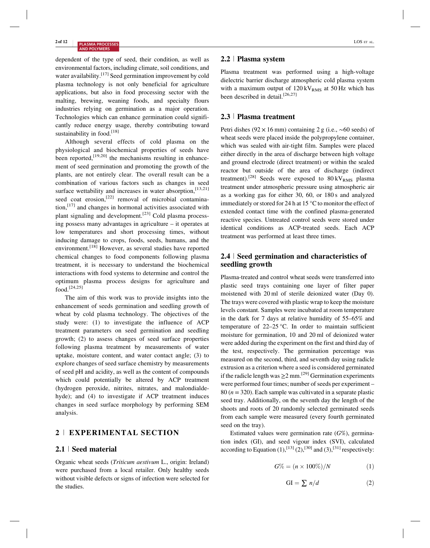dependent of the type of seed, their condition, as well as environmental factors, including climate, soil conditions, and water availability.<sup>[17]</sup> Seed germination improvement by cold plasma technology is not only beneficial for agriculture applications, but also in food processing sector with the malting, brewing, weaning foods, and specialty flours industries relying on germination as a major operation. Technologies which can enhance germination could significantly reduce energy usage, thereby contributing toward sustainability in food.<sup>[18]</sup>

Although several effects of cold plasma on the physiological and biochemical properties of seeds have been reported,<sup>[19,20]</sup> the mechanisms resulting in enhancement of seed germination and promoting the growth of the plants, are not entirely clear. The overall result can be a combination of various factors such as changes in seed surface wettability and increases in water absorption, [13,21] seed coat erosion,<sup>[22]</sup> removal of microbial contamination,[17] and changes in hormonal activities associated with plant signaling and development.<sup>[23]</sup> Cold plasma processing possess many advantages in agriculture – it operates at low temperatures and short processing times, without inducing damage to crops, foods, seeds, humans, and the environment.<sup>[18]</sup> However, as several studies have reported chemical changes to food components following plasma treatment, it is necessary to understand the biochemical interactions with food systems to determine and control the optimum plasma process designs for agriculture and  $food.$ <sup>[24,25]</sup>

The aim of this work was to provide insights into the enhancement of seeds germination and seedling growth of wheat by cold plasma technology. The objectives of the study were: (1) to investigate the influence of ACP treatment parameters on seed germination and seedling growth; (2) to assess changes of seed surface properties following plasma treatment by measurements of water uptake, moisture content, and water contact angle; (3) to explore changes of seed surface chemistry by measurements of seed pH and acidity, as well as the content of compounds which could potentially be altered by ACP treatment (hydrogen peroxide, nitrites, nitrates, and malondialdehyde); and (4) to investigate if ACP treatment induces changes in seed surface morphology by performing SEM analysis.

# **2** <sup>|</sup> **EXPERIMENTAL SECTION**

# **2.1** <sup>|</sup> **Seed material**

Organic wheat seeds (*Triticum aestivum* L., origin: Ireland) were purchased from a local retailer. Only healthy seeds without visible defects or signs of infection were selected for the studies.

# **2.2** <sup>|</sup> **Plasma system**

Plasma treatment was performed using a high-voltage dielectric barrier discharge atmospheric cold plasma system with a maximum output of  $120 \text{ kV}_{RMS}$  at 50 Hz which has been described in detail.<sup>[26,27]</sup>

#### **2.3** <sup>|</sup> **Plasma treatment**

Petri dishes (92 × 16 mm) containing 2 g (i.e., ∼60 seeds) of wheat seeds were placed inside the polypropylene container, which was sealed with air-tight film. Samples were placed either directly in the area of discharge between high voltage and ground electrode (direct treatment) or within the sealed reactor but outside of the area of discharge (indirect treatment).<sup>[28]</sup> Seeds were exposed to  $80 \,\mathrm{kV_{RMS}}$  plasma treatment under atmospheric pressure using atmospheric air as a working gas for either 30, 60, or 180 s and analyzed immediately or stored for 24 h at 15 °C to monitor the effect of extended contact time with the confined plasma-generated reactive species. Untreated control seeds were stored under identical conditions as ACP-treated seeds. Each ACP treatment was performed at least three times.

# **2.4** <sup>|</sup> **Seed germination and characteristics of seedling growth**

Plasma-treated and control wheat seeds were transferred into plastic seed trays containing one layer of filter paper moistened with 20 ml of sterile deionized water (Day 0). The trays were covered with plastic wrap to keep the moisture levels constant. Samples were incubated at room temperature in the dark for 7 days at relative humidity of 55–65% and temperature of 22–25 °C. In order to maintain sufficient moisture for germination, 10 and 20 ml of deionized water were added during the experiment on the first and third day of the test, respectively. The germination percentage was measured on the second, third, and seventh day using radicle extrusion as a criterion where a seed is considered germinated if the radicle length was  $>2$  mm.<sup>[29]</sup> Germination experiments were performed four times; number of seeds per experiment – 80 (*n* = 320). Each sample was cultivated in a separate plastic seed tray. Additionally, on the seventh day the length of the shoots and roots of 20 randomly selected germinated seeds from each sample were measured (every fourth germinated seed on the tray).

Estimated values were germination rate (*G*%), germination index (GI), and seed vigour index (SVI), calculated according to Equation  $(1)$ ,  $[13]$   $(2)$ ,  $[30]$  and  $(3)$ ,  $[31]$  respectively:

$$
G\% = (n \times 100\%)/N \tag{1}
$$

$$
GI = \sum n/d \tag{2}
$$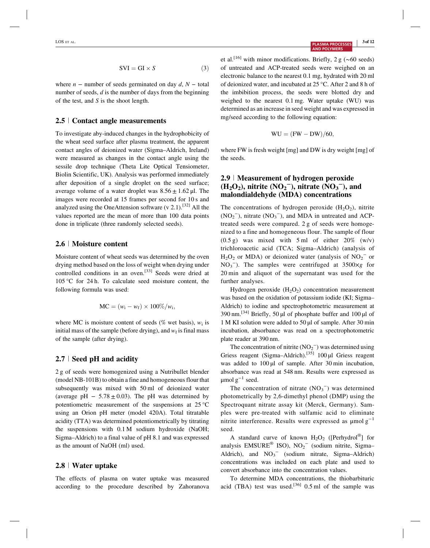$$
SVI = GI \times S \tag{3}
$$

where  $n -$  number of seeds germinated on day  $d, N -$  total number of seeds, *d* is the number of days from the beginning of the test, and *S* is the shoot length.

#### **2.5** <sup>|</sup> **Contact angle measurements**

To investigate aby-induced changes in the hydrophobicity of the wheat seed surface after plasma treatment, the apparent contact angles of deionized water (Sigma–Aldrich, Ireland) were measured as changes in the contact angle using the sessile drop technique (Theta Lite Optical Tensiometer, Biolin Scientific, UK). Analysis was performed immediately after deposition of a single droplet on the seed surface; average volume of a water droplet was  $8.56 \pm 1.62 \,\mu$ l. The images were recorded at 15 frames per second for 10 s and analyzed using the OneAttension software (v 2.1).<sup>[32]</sup> All the values reported are the mean of more than 100 data points done in triplicate (three randomly selected seeds).

### **2.6** <sup>|</sup> **Moisture content**

Moisture content of wheat seeds was determined by the oven drying method based on the loss of weight when drying under controlled conditions in an oven.<sup>[33]</sup> Seeds were dried at 105 °C for 24 h. To calculate seed moisture content, the following formula was used:

$$
MC = (w_i - w_f) \times 100\%/w_i,
$$

where MC is moisture content of seeds ( $\%$  wet basis),  $w_i$  is initial mass of the sample (before drying), and  $w_f$  is final mass of the sample (after drying).

# **2.7** <sup>|</sup> **Seed pH and acidity**

2 g of seeds were homogenized using a Nutribullet blender (model NB-101B) to obtain a fine and homogeneous flour that subsequently was mixed with 50 ml of deionized water (average pH  $-5.78 \pm 0.03$ ). The pH was determined by potentiometric measurement of the suspensions at 25 °C using an Orion pH meter (model 420A). Total titratable acidity (TTA) was determined potentiometrically by titrating the suspensions with 0.1 M sodium hydroxide (NaOH; Sigma–Aldrich) to a final value of pH 8.1 and was expressed as the amount of NaOH (ml) used.

### **2.8** <sup>|</sup> **Water uptake**

The effects of plasma on water uptake was measured according to the procedure described by Zahoranova et al.<sup>[16]</sup> with minor modifications. Briefly, 2 g (∼60 seeds) of untreated and ACP-treated seeds were weighed on an electronic balance to the nearest 0.1 mg, hydrated with 20 ml of deionized water, and incubated at 25 °C. After 2 and 8 h of the imbibition process, the seeds were blotted dry and weighed to the nearest 0.1 mg. Water uptake (WU) was determined as an increase in seed weight and was expressed in mg/seed according to the following equation:

$$
WU = (FW - DW)/60,
$$

where FW is fresh weight [mg] and DW is dry weight [mg] of the seeds.

# **2.9** <sup>|</sup> **Measurement of hydrogen peroxide**  $(\text{H}_2\text{O}_2)$ , nitrite  $(\text{NO}_2)$ , nitrate  $(\text{NO}_3)$ , and **malondialdehyde (MDA) concentrations**

The concentrations of hydrogen peroxide  $(H_2O_2)$ , nitrite  $(NO<sub>2</sub><sup>-</sup>)$ , nitrate  $(NO<sub>3</sub><sup>-</sup>)$ , and MDA in untreated and ACPtreated seeds were compared. 2 g of seeds were homogenized to a fine and homogeneous flour. The sample of flour  $(0.5 \text{ g})$  was mixed with 5 ml of either 20% (w/v) trichloroacetic acid (TCA; Sigma–Aldrich) (analysis of  $H_2O_2$  or MDA) or deionized water (analysis of NO<sub>2</sub><sup>-</sup> or NO<sub>3</sub><sup>-</sup>). The samples were centrifuged at  $3500 \times g$  for 20 min and aliquot of the supernatant was used for the further analyses.

Hydrogen peroxide  $(H_2O_2)$  concentration measurement was based on the oxidation of potassium iodide (KI; Sigma– Aldrich) to iodine and spectrophotometric measurement at 390 nm.[34] Briefly, 50 μl of phosphate buffer and 100 μl of 1 M KI solution were added to 50 μl of sample. After 30 min incubation, absorbance was read on a spectrophotometric plate reader at 390 nm.

The concentration of nitrite  $(NO<sub>2</sub><sup>-</sup>)$  was determined using Griess reagent (Sigma–Aldrich).[35] 100 μl Griess reagent was added to 100 μl of sample. After 30 min incubation, absorbance was read at 548 nm. Results were expressed as  $\mu$ mol g<sup>-1</sup> seed.

The concentration of nitrate  $(NO<sub>3</sub><sup>-</sup>)$  was determined photometrically by 2,6-dimethyl phenol (DMP) using the Spectroquant nitrate assay kit (Merck, Germany). Samples were pre-treated with sulfamic acid to eliminate nitrite interference. Results were expressed as  $\mu$ mol g<sup>-1</sup> seed.

A standard curve of known  $H_2O_2$  ([Perhydrol<sup>®</sup>] for analysis EMSURE<sup>®</sup> ISO), NO<sub>2</sub><sup>-</sup> (sodium nitrite, Sigma-Aldrich), and  $NO_3$ <sup>-</sup> (sodium nitrate, Sigma-Aldrich) concentrations was included on each plate and used to convert absorbance into the concentration values.

To determine MDA concentrations, the thiobarbituric acid (TBA) test was used.<sup>[36]</sup> 0.5 ml of the sample was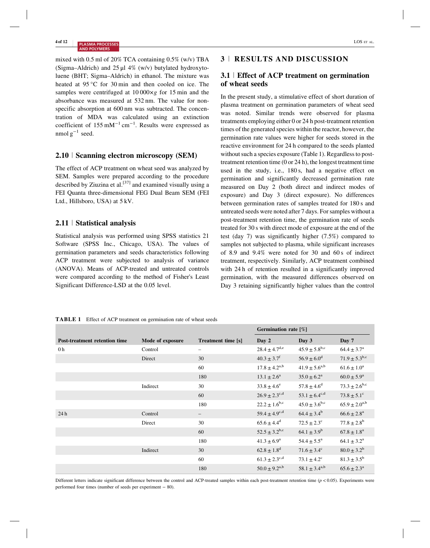mixed with 0.5 ml of 20% TCA containing 0.5% (w/v) TBA (Sigma–Aldrich) and  $25 \mu$ l 4% (w/v) butylated hydroxytoluene (BHT; Sigma–Aldrich) in ethanol. The mixture was heated at 95 °C for 30 min and then cooled on ice. The samples were centrifuged at 10 000*×g* for 15 min and the absorbance was measured at 532 nm. The value for nonspecific absorption at 600 nm was subtracted. The concentration of MDA was calculated using an extinction coefficient of  $155 \text{ mM}^{-1} \text{ cm}^{-1}$ . Results were expressed as nmol  $g^{-1}$  seed.

# **2.10** <sup>|</sup> **Scanning electron microscopy (SEM)**

The effect of ACP treatment on wheat seed was analyzed by SEM. Samples were prepared according to the procedure described by Ziuzina et al.<sup>[37]</sup> and examined visually using a FEI Quanta three-dimensional FEG Dual Beam SEM (FEI Ltd., Hillsboro, USA) at 5 kV.

# **2.11** <sup>|</sup> **Statistical analysis**

Statistical analysis was performed using SPSS statistics 21 Software (SPSS Inc., Chicago, USA). The values of germination parameters and seeds characteristics following ACP treatment were subjected to analysis of variance (ANOVA). Means of ACP-treated and untreated controls were compared according to the method of Fisher's Least Significant Difference-LSD at the 0.05 level.

# **3** <sup>|</sup> **RESULTS AND DISCUSSION**

# **3.1** <sup>|</sup> **Effect of ACP treatment on germination of wheat seeds**

In the present study, a stimulative effect of short duration of plasma treatment on germination parameters of wheat seed was noted. Similar trends were observed for plasma treatments employing either 0 or 24 h post-treatment retention times of the generated species within the reactor, however, the germination rate values were higher for seeds stored in the reactive environment for 24 h compared to the seeds planted without such a species exposure (Table 1). Regardless to posttreatment retention time (0 or 24 h), the longest treatment time used in the study, i.e., 180 s, had a negative effect on germination and significantly decreased germination rate measured on Day 2 (both direct and indirect modes of exposure) and Day 3 (direct exposure). No differences between germination rates of samples treated for 180 s and untreated seeds were noted after 7 days. For samples without a post-treatment retention time, the germination rate of seeds treated for 30 s with direct mode of exposure at the end of the test (day 7) was significantly higher (7.5%) compared to samples not subjected to plasma, while significant increases of 8.9 and 9.4% were noted for 30 and 60 s of indirect treatment, respectively. Similarly, ACP treatment combined with 24 h of retention resulted in a significantly improved germination, with the measured differences observed on Day 3 retaining significantly higher values than the control

| <b>TABLE 1</b> Effect of ACP treatment on germination rate of wheat seeds |
|---------------------------------------------------------------------------|
|---------------------------------------------------------------------------|

|                               |                  |                           | Germination rate [%]               |                             |                          |
|-------------------------------|------------------|---------------------------|------------------------------------|-----------------------------|--------------------------|
| Post-treatment retention time | Mode of exposure | <b>Treatment time</b> [s] | Day 2                              | Day 3                       | Day 7                    |
| 0 <sub>h</sub>                | Control          | $\overline{\phantom{m}}$  | $28.4 \pm 4.7^{\text{d,e}}$        | $45.9 \pm 5.8^{\rm b,c}$    | $64.4 \pm 3.7^{\rm a}$   |
|                               | Direct           | 30                        | $40.3 \pm 3.7$ <sup>f</sup>        | $56.9 \pm 6.0^{\rm d}$      | $71.9 \pm 5.3^{b,c}$     |
|                               |                  | 60                        | $17.8 \pm 4.2^{a,b}$               | $41.9 \pm 5.6^{a,b}$        | $61.6 \pm 1.0^a$         |
|                               |                  | 180                       | $13.1 \pm 2.6^a$                   | $35.0 \pm 6.2^{\rm a}$      | $60.0 \pm 5.9^{\rm a}$   |
|                               | Indirect         | 30                        | $33.8 \pm 4.6^e$                   | $57.8 \pm 4.6^{\rm d}$      | $73.3 \pm 2.6^{\rm b,c}$ |
|                               |                  | 60                        | $26.9 \pm 2.3^{\text{c,d}}$        | $53.1 \pm 6.4^{\text{c,d}}$ | $73.8 \pm 5.1^{\circ}$   |
|                               |                  | 180                       | $22.2 \pm 1.6^{\rm b,c}$           | $45.0 \pm 3.6^{\rm b,c}$    | $65.9 \pm 2.0^{a,b}$     |
| 24h                           | Control          |                           | $59.4 \pm 4.9^{\text{c,d}}$        | $64.4 \pm 3.4^b$            | $66.6 \pm 2.8^{\rm a}$   |
|                               | Direct           | 30                        | $65.6 \pm 4.4^d$                   | $72.5 \pm 2.3^{\circ}$      | $77.8 \pm 2.8^{\rm b}$   |
|                               |                  | 60                        | $52.5 \pm 3.2^{\rm b,c}$           | $64.1 \pm 3.9^b$            | $67.8 \pm 1.8^{\rm a}$   |
|                               |                  | 180                       | $41.3 \pm 6.9^{\rm a}$             | $54.4 \pm 5.5^{\rm a}$      | $64.1 \pm 3.2^{\rm a}$   |
|                               | Indirect         | 30                        | $62.8 \pm 1.8$ <sup>d</sup>        | $71.6 \pm 3.4^{\circ}$      | $80.0 \pm 3.2^b$         |
|                               |                  | 60                        | $61.3 \pm 2.3^{\text{c,d}}$        | $73.1 \pm 4.2$ <sup>c</sup> | $81.3 \pm 3.5^{\rm b}$   |
|                               |                  | 180                       | $50.0 \pm 9.2^{\text{a},\text{b}}$ | $58.1 \pm 3.4^{a,b}$        | $65.6 \pm 2.3^{\rm a}$   |

Different letters indicate significant difference between the control and ACP-treated samples within each post-treatment retention time (*p* < 0.05). Experiments were performed four times (number of seeds per experiment − 80).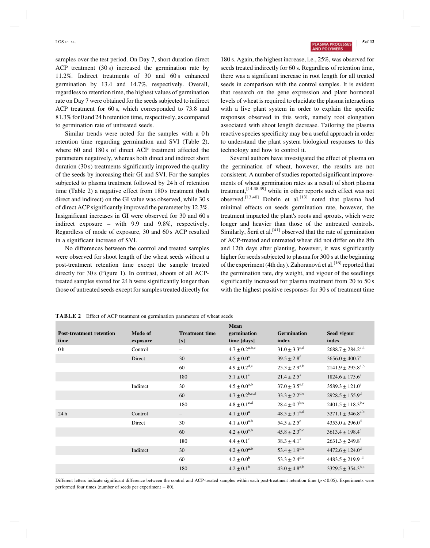LOS ET AL. **3 of 12 13 of 12 3 of 12 3 of 12 3 of 12 3 of 12 3 of 12 3 of 12 3 of 12 3 of 12 3 of 12 3 of 12 3 of 12 3 of 12 3 of 12 3 of 12 3 of 12 3 of 12 3 of 12 3 of 12 3 of 12**

samples over the test period. On Day 7, short duration direct ACP treatment (30 s) increased the germination rate by 11.2%. Indirect treatments of 30 and 60 s enhanced germination by 13.4 and 14.7%, respectively. Overall, regardless to retention time, the highest values of germination rate on Day 7 were obtained for the seeds subjected to indirect ACP treatment for 60 s, which corresponded to 73.8 and 81.3% for 0 and 24 h retention time, respectively, as compared to germination rate of untreated seeds.

Similar trends were noted for the samples with a 0 h retention time regarding germination and SVI (Table 2), where 60 and 180 s of direct ACP treatment affected the parameters negatively, whereas both direct and indirect short duration (30 s) treatments significantly improved the quality of the seeds by increasing their GI and SVI. For the samples subjected to plasma treatment followed by 24 h of retention time (Table 2) a negative effect from 180 s treatment (both direct and indirect) on the GI value was observed, while 30 s of direct ACP significantly improved the parameter by 12.3%. Insignificant increases in GI were observed for 30 and 60 s indirect exposure – with 9.9 and 9.8%, respectively. Regardless of mode of exposure, 30 and 60 s ACP resulted in a significant increase of SVI.

No differences between the control and treated samples were observed for shoot length of the wheat seeds without a post-treatment retention time except the sample treated directly for 30 s (Figure 1). In contrast, shoots of all ACPtreated samples stored for 24 h were significantly longer than those of untreated seeds except for samples treated directly for

180 s. Again, the highest increase, i.e., 25%, was observed for seeds treated indirectly for 60 s. Regardless of retention time, there was a significant increase in root length for all treated seeds in comparison with the control samples. It is evident that research on the gene expression and plant hormonal levels of wheat is required to elucidate the plasma interactions with a live plant system in order to explain the specific responses observed in this work, namely root elongation associated with shoot length decrease. Tailoring the plasma reactive species specificity may be a useful approach in order to understand the plant system biological responses to this technology and how to control it.

Several authors have investigated the effect of plasma on the germination of wheat, however, the results are not consistent. A number of studies reported significant improvements of wheat germination rates as a result of short plasma treatment,[14,38,39] while in other reports such effect was not observed.<sup>[13,40]</sup> Dobrin et al.<sup>[13]</sup> noted that plasma had minimal effects on seeds germination rate, however, the treatment impacted the plant's roots and sprouts, which were longer and heavier than those of the untreated controls. Similarly, Šerá et al. $[41]$  observed that the rate of germination of ACP-treated and untreated wheat did not differ on the 8th and 12th days after planting, however, it was significantly higher for seeds subjected to plasma for 300 s at the beginning of the experiment (4th day). Zahoranová et al. [16] reported that the germination rate, dry weight, and vigour of the seedlings significantly increased for plasma treatment from 20 to 50 s with the highest positive responses for 30 s of treatment time

| <b>Post-treatment retention</b><br>time | Mode of<br>exposure | <b>Treatment time</b><br>[s] | Mean<br>germination<br>time [days] | <b>Germination</b><br>index | Seed vigour<br>index              |
|-----------------------------------------|---------------------|------------------------------|------------------------------------|-----------------------------|-----------------------------------|
| 0 <sub>h</sub>                          | Control             | -                            | $4.7 \pm 0.2^{a,b,c}$              | $31.0 \pm 3.3^{\text{c,d}}$ | $2688.7 \pm 284.2^{\text{c,d}}$   |
|                                         | Direct              | 30                           | $4.5 \pm 0.0^a$                    | $39.5 \pm 2.8$ <sup>f</sup> | $3656.0 \pm 400.7^e$              |
|                                         |                     | 60                           | $4.9 \pm 0.2$ <sup>d,e</sup>       | $25.3 \pm 2.9^{a,b}$        | $2141.9 \pm 295.8^{a,b}$          |
|                                         |                     | 180                          | $5.1 \pm 0.1^e$                    | $21.4 \pm 2.5^{\rm a}$      | $1824.6 \pm 175.6^a$              |
|                                         | Indirect            | 30                           | $4.5 \pm 0.0^{a,b}$                | $37.0 \pm 3.5^{\text{e,f}}$ | $3589.3 \pm 121.0^e$              |
|                                         |                     | 60                           | $4.7 \pm 0.2^{\rm b,c,d}$          | $33.3 \pm 2.2^{d,e}$        | $2928.5 \pm 155.9^{\mathrm{d}}$   |
|                                         |                     | 180                          | $4.8 \pm 0.1^{\text{c,d}}$         | $28.4 \pm 0.7^{b,c}$        | $2401.5 \pm 118.3$ <sup>b,c</sup> |
| 24h                                     | Control             | -                            | $4.1 \pm 0.0^a$                    | $48.5 \pm 3.1^{\text{c,d}}$ | $3271.1 \pm 346.8^{a,b}$          |
|                                         | Direct              | 30                           | $4.1 \pm 0.0^{a,b}$                | $54.5 \pm 2.5^e$            | $4353.0 + 296.0^{\circ}$          |
|                                         |                     | 60                           | $4.2 \pm 0.0^{a,b}$                | $45.8 \pm 2.3^{b,c}$        | $3613.4 \pm 198.4^{\circ}$        |
|                                         |                     | 180                          | $4.4 \pm 0.1^{\circ}$              | $38.3 \pm 4.1^a$            | $2631.3 \pm 249.8^a$              |
|                                         | Indirect            | 30                           | $4.2 \pm 0.0^{a,b}$                | $53.4 \pm 1.9^{d,e}$        | $4472.6 + 124.0^{\mathrm{d}}$     |
|                                         |                     | 60                           | $4.2 \pm 0.0^{\rm b}$              | $53.3 \pm 2.4^{\text{d,e}}$ | $4483.5 \pm 219.9$ <sup>d</sup>   |
|                                         |                     | 180                          | $4.2 \pm 0.1^{\rm b}$              | $43.0 \pm 4.8^{a,b}$        | $3329.5 \pm 354.3^{b,c}$          |

**TABLE 2** Effect of ACP treatment on germination parameters of wheat seeds

Different letters indicate significant difference between the control and ACP-treated samples within each post-treatment retention time (*p* < 0.05). Experiments were performed four times (number of seeds per experiment − 80).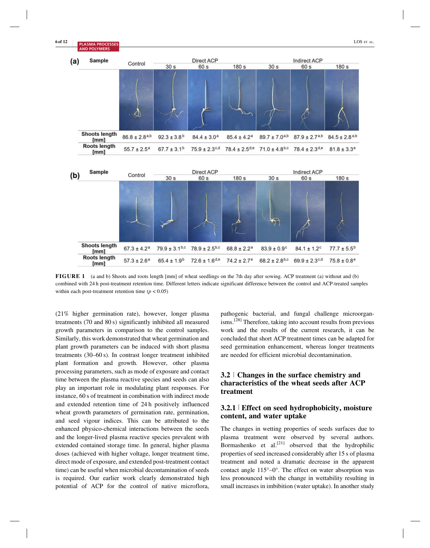

**FIGURE 1** (a and b) Shoots and roots length [mm] of wheat seedlings on the 7th day after sowing. ACP treatment (a) without and (b) combined with 24 h post-treatment retention time. Different letters indicate significant difference between the control and ACP-treated samples within each post-treatment retention time  $(p < 0.05)$ 

(21% higher germination rate), however, longer plasma treatments (70 and 80 s) significantly inhibited all measured growth parameters in comparison to the control samples. Similarly, this work demonstrated that wheat germination and plant growth parameters can be induced with short plasma treatments (30–60 s). In contrast longer treatment inhibited plant formation and growth. However, other plasma processing parameters, such as mode of exposure and contact time between the plasma reactive species and seeds can also play an important role in modulating plant responses. For instance, 60 s of treatment in combination with indirect mode and extended retention time of 24 h positively influenced wheat growth parameters of germination rate, germination, and seed vigour indices. This can be attributed to the enhanced physico-chemical interactions between the seeds and the longer-lived plasma reactive species prevalent with extended contained storage time. In general, higher plasma doses (achieved with higher voltage, longer treatment time, direct mode of exposure, and extended post-treatment contact time) can be useful when microbial decontamination of seeds is required. Our earlier work clearly demonstrated high potential of ACP for the control of native microflora,

pathogenic bacterial, and fungal challenge microorganisms.[28] Therefore, taking into account results from previous work and the results of the current research, it can be concluded that short ACP treatment times can be adapted for seed germination enhancement, whereas longer treatments are needed for efficient microbial decontamination.

# **3.2** <sup>|</sup> **Changes in the surface chemistry and characteristics of the wheat seeds after ACP treatment**

### **3.2.1** <sup>|</sup> **Effect on seed hydrophobicity, moisture content, and water uptake**

The changes in wetting properties of seeds surfaces due to plasma treatment were observed by several authors. Bormashenko et  $al.^{[21]}$  observed that the hydrophilic properties of seed increased considerably after 15 s of plasma treatment and noted a dramatic decrease in the apparent contact angle 115°–0°. The effect on water absorption was less pronounced with the change in wettability resulting in small increases in imbibition (water uptake). In another study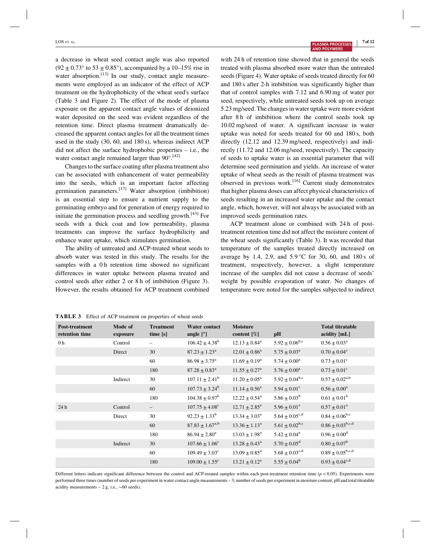a decrease in wheat seed contact angle was also reported  $(92 \pm 0.73^{\circ} \text{ to } 53 \pm 0.85^{\circ})$ , accompanied by a 10–15% rise in water absorption.<sup>[13]</sup> In our study, contact angle measurements were employed as an indicator of the effect of ACP treatment on the hydrophobicity of the wheat seed's surface (Table 3 and Figure 2). The effect of the mode of plasma exposure on the apparent contact angle values of deionized water deposited on the seed was evident regardless of the retention time. Direct plasma treatment dramatically decreased the apparent contact angles for all the treatment times used in the study (30, 60, and 180 s), whereas indirect ACP did not affect the surface hydrophobic properties – i.e., the water contact angle remained larger than  $90^{\circ}$ .<sup>[42]</sup>

Changes to the surface coating after plasma treatment also can be associated with enhancement of water permeability into the seeds, which is an important factor affecting germination parameters.<sup>[17]</sup> Water absorption (imbibition) is an essential step to ensure a nutrient supply to the germinating embryo and for generation of energy required to initiate the germination process and seedling growth.<sup>[43]</sup> For seeds with a thick coat and low permeability, plasma treatments can improve the surface hydrophilicity and enhance water uptake, which stimulates germination.

The ability of untreated and ACP-treated wheat seeds to absorb water was tested in this study. The results for the samples with a 0 h retention time showed no significant differences in water uptake between plasma treated and control seeds after either 2 or 8 h of imbibition (Figure 3). However, the results obtained for ACP treatment combined

with 24 h of retention time showed that in general the seeds treated with plasma absorbed more water than the untreated seeds (Figure 4). Water uptake of seeds treated directly for 60 and 180 s after 2-h imbibition was significantly higher than that of control samples with 7.12 and 6.90 mg of water per seed, respectively, while untreated seeds took up on average 5.23 mg/seed. The changes in water uptake were more evident after 8 h of imbibition where the control seeds took up 10.02 mg/seed of water. A significant increase in water uptake was noted for seeds treated for 60 and 180 s, both directly (12.12 and 12.39 mg/seed, respectively) and indirectly (11.72 and 12.06 mg/seed, respectively). The capacity of seeds to uptake water is an essential parameter that will determine seed germination and yields. An increase of water uptake of wheat seeds as the result of plasma treatment was observed in previous work.<sup>[16]</sup> Current study demonstrates that higher plasma doses can affect physical characteristics of seeds resulting in an increased water uptake and the contact angle, which, however, will not always be associated with an improved seeds germination rates.

ACP treatment alone or combined with 24 h of posttreatment retention time did not affect the moisture content of the wheat seeds significantly (Table 3). It was recorded that temperature of the samples treated directly increased on average by 1.4, 2.9, and  $5.9^{\circ}$ C for 30, 60, and 180 s of treatment, respectively, however, a slight temperature increase of the samples did not cause a decrease of seeds' weight by possible evaporation of water. No changes of temperature were noted for the samples subjected to indirect

| <b>Post-treatment</b><br>retention time | Mode of<br>exposure | <b>Treatment</b><br>time [s] | <b>Water contact</b><br>angle $[°]$ | <b>Moisture</b><br>content $[\%]$ | pH                           | <b>Total titratable</b><br>acidity [mL] |
|-----------------------------------------|---------------------|------------------------------|-------------------------------------|-----------------------------------|------------------------------|-----------------------------------------|
| 0 <sub>h</sub>                          | Control             | -                            | $106.42 \pm 4.38^b$                 | $12.13 \pm 0.84^{\text{a}}$       | $5.92 \pm 0.06^{\rm b,c}$    | $0.56 \pm 0.03^{\text{a}}$              |
|                                         | Direct              | 30                           | $87.23 \pm 1.23^{\rm a}$            | $12.01 \pm 0.86^{\text{a}}$       | $5.75 \pm 0.03^{\text{a}}$   | $0.70 \pm 0.04^c$                       |
|                                         |                     | 60                           | $86.98 \pm 3.75^{\text{a}}$         | $11.69 \pm 0.19^a$                | $5.74 \pm 0.00^{\circ}$      | $0.73 \pm 0.01^{\circ}$                 |
|                                         |                     | 180                          | $87.28 \pm 0.83^a$                  | $11.55 \pm 0.27^{\rm a}$          | $5.76 \pm 0.00^a$            | $0.73 \pm 0.01^{\circ}$                 |
|                                         | Indirect            | 30                           | $107.11 \pm 2.41^{\rm b}$           | $11.20 \pm 0.05^{\text{a}}$       | $5.92 \pm 0.04^{b,c}$        | $0.57 \pm 0.02^{a,b}$                   |
|                                         |                     | 60                           | $107.73 \pm 3.24^{\rm b}$           | $11.14 \pm 0.56^{\circ}$          | $5.94 \pm 0.01^{\circ}$      | $0.56 \pm 0.00^a$                       |
|                                         |                     | 180                          | $104.38 \pm 0.97^{\rm b}$           | $12.22 \pm 0.54^{\text{a}}$       | $5.86 \pm 0.03^b$            | $0.61 \pm 0.01^{\rm b}$                 |
| 24h                                     | Control             | $\qquad \qquad -$            | $107.75 \pm 4.08^{\circ}$           | $12.71 \pm 2.85^{\text{a}}$       | $5.96 \pm 0.01^e$            | $0.57 \pm 0.01^a$                       |
|                                         | Direct              | 30                           | $92.23 \pm 1.33^b$                  | $13.34 \pm 3.03^{\circ}$          | $5.64 \pm 0.05^{\text{c,d}}$ | $0.84 \pm 0.06^{\rm b,c}$               |
|                                         |                     | 60                           | $87.83 \pm 1.67^{a,b}$              | $13.36 \pm 1.13^{\circ}$          | $5.61 \pm 0.02^{b,c}$        | $0.86\pm0.03^{\rm b,c,d}$               |
|                                         |                     | 180                          | $86.94 \pm 2.80^a$                  | $13.03 \pm 1.98^{\text{a}}$       | $5.42 \pm 0.04^a$            | $0.96 \pm 0.00^{\rm d}$                 |
|                                         | Indirect            | 30                           | $107.66 \pm 1.06^{\circ}$           | $13.28 \pm 0.43^{\circ}$          | $5.70 \pm 0.05^{\rm d}$      | $0.80 \pm 0.07^{\rm b}$                 |
|                                         |                     | 60                           | $109.49 \pm 3.03$ <sup>c</sup>      | $13.09 \pm 0.85^{\text{a}}$       | $5.68 \pm 0.03^{\text{c,d}}$ | $0.89 \pm 0.05^{\rm b,c,d}$             |
|                                         |                     | 180                          | $109.00 \pm 1.55$ <sup>c</sup>      | $13.21 \pm 0.12^a$                | $5.55 \pm 0.04^b$            | $0.93 \pm 0.04^{\text{c,d}}$            |

**TABLE 3** Effect of ACP treatment on properties of wheat seeds

Different letters indicate significant difference between the control and ACP-treated samples within each post-treatment retention time (*p* < 0.05). Experiments were performed three times (number of seeds per experiment in water contact angle measurements – 3; number of seeds per experiment in moisture content, pH and total titratable acidity measurements – 2 g, i.e.,  $~\sim 60$  seeds).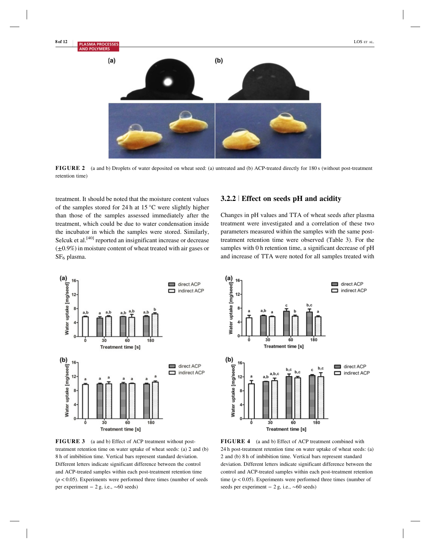**2 of 12 PLASMA PROCESSES** LOS ET AL.  $(a)$  $(b)$ 

**FIGURE 2** (a and b) Droplets of water deposited on wheat seed: (a) untreated and (b) ACP-treated directly for 180 s (without post-treatment retention time)

treatment. It should be noted that the moisture content values of the samples stored for 24 h at 15 °C were slightly higher than those of the samples assessed immediately after the treatment, which could be due to water condensation inside the incubator in which the samples were stored. Similarly, Selcuk et al.<sup>[40]</sup> reported an insignificant increase or decrease  $(\pm 0.9\%)$  in moisture content of wheat treated with air gases or SF<sub>6</sub> plasma.

# **3.2.2** <sup>|</sup> **Effect on seeds pH and acidity**

Changes in pH values and TTA of wheat seeds after plasma treatment were investigated and a correlation of these two parameters measured within the samples with the same posttreatment retention time were observed (Table 3). For the samples with 0 h retention time, a significant decrease of pH and increase of TTA were noted for all samples treated with



**FIGURE 3** (a and b) Effect of ACP treatment without posttreatment retention time on water uptake of wheat seeds: (a) 2 and (b) 8 h of imbibition time. Vertical bars represent standard deviation. Different letters indicate significant difference between the control and ACP-treated samples within each post-treatment retention time  $(p < 0.05)$ . Experiments were performed three times (number of seeds per experiment − 2 g, i.e., ∼60 seeds)



**FIGURE 4** (a and b) Effect of ACP treatment combined with 24 h post-treatment retention time on water uptake of wheat seeds: (a) 2 and (b) 8 h of imbibition time. Vertical bars represent standard deviation. Different letters indicate significant difference between the control and ACP-treated samples within each post-treatment retention time  $(p < 0.05)$ . Experiments were performed three times (number of seeds per experiment – 2 g, i.e., ~60 seeds)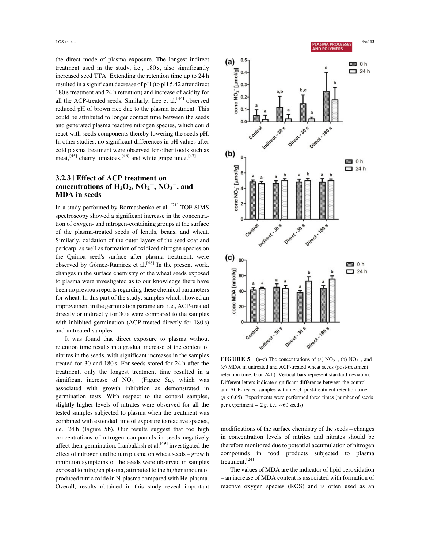the direct mode of plasma exposure. The longest indirect treatment used in the study, i.e., 180 s, also significantly increased seed TTA. Extending the retention time up to 24 h resulted in a significant decrease of pH (to pH 5.42 after direct 180 s treatment and 24 h retention) and increase of acidity for all the ACP-treated seeds. Similarly, Lee et al. $[44]$  observed reduced pH of brown rice due to the plasma treatment. This could be attributed to longer contact time between the seeds and generated plasma reactive nitrogen species, which could react with seeds components thereby lowering the seeds pH. In other studies, no significant differences in pH values after cold plasma treatment were observed for other foods such as meat,  $[45]$  cherry tomatoes,  $[46]$  and white grape juice.  $[47]$ 

# **3.2.3** <sup>|</sup> **Effect of ACP treatment on** concentrations of  $H_2O_2$ ,  $NO_2^-$ ,  $NO_3^-$ , and **MDA in seeds**

In a study performed by Bormashenko et al., $^{[21]}$  TOF-SIMS spectroscopy showed a significant increase in the concentration of oxygen- and nitrogen-containing groups at the surface of the plasma-treated seeds of lentils, beans, and wheat. Similarly, oxidation of the outer layers of the seed coat and pericarp, as well as formation of oxidized nitrogen species on the Quinoa seed's surface after plasma treatment, were observed by Gómez-Ramírez et al.<sup>[48]</sup> In the present work, changes in the surface chemistry of the wheat seeds exposed to plasma were investigated as to our knowledge there have been no previous reports regarding these chemical parameters for wheat. In this part of the study, samples which showed an improvement in the germination parameters, i.e., ACP-treated directly or indirectly for 30 s were compared to the samples with inhibited germination (ACP-treated directly for 180 s) and untreated samples.

It was found that direct exposure to plasma without retention time results in a gradual increase of the content of nitrites in the seeds, with significant increases in the samples treated for 30 and 180 s. For seeds stored for 24 h after the treatment, only the longest treatment time resulted in a significant increase of  $NO_2$ <sup>-</sup> (Figure 5a), which was associated with growth inhibition as demonstrated in germination tests. With respect to the control samples, slightly higher levels of nitrates were observed for all the tested samples subjected to plasma when the treatment was combined with extended time of exposure to reactive species, i.e., 24 h (Figure 5b). Our results suggest that too high concentrations of nitrogen compounds in seeds negatively affect their germination. Iranbakhsh et al. $[49]$  investigated the effect of nitrogen and helium plasma on wheat seeds – growth inhibition symptoms of the seeds were observed in samples exposed to nitrogen plasma, attributed to the higher amount of produced nitric oxide in N-plasma compared with He-plasma. Overall, results obtained in this study reveal important



**FIGURE 5** (a–c) The concentrations of (a)  $NO_2^-$ , (b)  $NO_3^-$ , and (c) MDA in untreated and ACP-treated wheat seeds (post-treatment retention time: 0 or 24 h). Vertical bars represent standard deviation. Different letters indicate significant difference between the control and ACP-treated samples within each post-treatment retention time  $(p < 0.05)$ . Experiments were performed three times (number of seeds per experiment − 2 g, i.e., ∼60 seeds)

modifications of the surface chemistry of the seeds – changes in concentration levels of nitrites and nitrates should be therefore monitored due to potential accumulation of nitrogen compounds in food products subjected to plasma treatment.[24]

The values of MDA are the indicator of lipid peroxidation – an increase of MDA content is associated with formation of reactive oxygen species (ROS) and is often used as an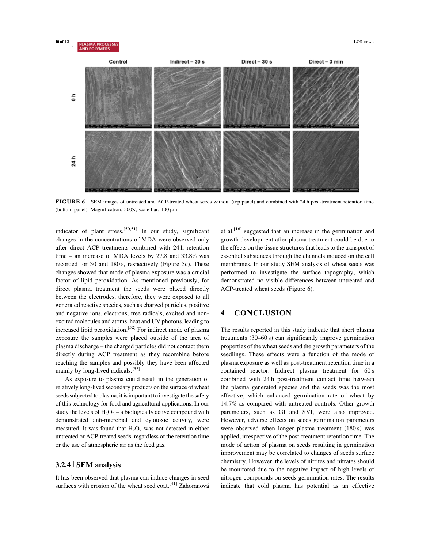

**FIGURE 6** SEM images of untreated and ACP-treated wheat seeds without (top panel) and combined with 24 h post-treatment retention time (bottom panel). Magnification: 500×; scale bar: 100 μm

indicator of plant stress.<sup>[50,51]</sup> In our study, significant changes in the concentrations of MDA were observed only after direct ACP treatments combined with 24 h retention time – an increase of MDA levels by 27.8 and 33.8% was recorded for 30 and 180 s, respectively (Figure 5c). These changes showed that mode of plasma exposure was a crucial factor of lipid peroxidation. As mentioned previously, for direct plasma treatment the seeds were placed directly between the electrodes, therefore, they were exposed to all generated reactive species, such as charged particles, positive and negative ions, electrons, free radicals, excited and nonexcited molecules and atoms, heat and UV photons, leading to increased lipid peroxidation.[52] For indirect mode of plasma exposure the samples were placed outside of the area of plasma discharge – the charged particles did not contact them directly during ACP treatment as they recombine before reaching the samples and possibly they have been affected mainly by long-lived radicals.<sup>[53]</sup>

As exposure to plasma could result in the generation of relatively long-lived secondary products on the surface of wheat seeds subjected to plasma, it is important to investigate the safety of this technology for food and agricultural applications. In our study the levels of  $H_2O_2$  – a biologically active compound with demonstrated anti-microbial and cytotoxic activity, were measured. It was found that  $H_2O_2$  was not detected in either untreated or ACP-treated seeds, regardless of the retention time or the use of atmospheric air as the feed gas.

# **3.2.4** <sup>|</sup> **SEM analysis**

It has been observed that plasma can induce changes in seed surfaces with erosion of the wheat seed coat.<sup>[41]</sup> Zahoranová

et al.[16] suggested that an increase in the germination and growth development after plasma treatment could be due to the effects on the tissue structures that leads to the transport of essential substances through the channels induced on the cell membranes. In our study SEM analysis of wheat seeds was performed to investigate the surface topography, which demonstrated no visible differences between untreated and ACP-treated wheat seeds (Figure 6).

# **4** <sup>|</sup> **CONCLUSION**

The results reported in this study indicate that short plasma treatments (30–60 s) can significantly improve germination properties of the wheat seeds and the growth parameters of the seedlings. These effects were a function of the mode of plasma exposure as well as post-treatment retention time in a contained reactor. Indirect plasma treatment for 60 s combined with 24 h post-treatment contact time between the plasma generated species and the seeds was the most effective; which enhanced germination rate of wheat by 14.7% as compared with untreated controls. Other growth parameters, such as GI and SVI, were also improved. However, adverse effects on seeds germination parameters were observed when longer plasma treatment (180 s) was applied, irrespective of the post-treatment retention time. The mode of action of plasma on seeds resulting in germination improvement may be correlated to changes of seeds surface chemistry. However, the levels of nitrites and nitrates should be monitored due to the negative impact of high levels of nitrogen compounds on seeds germination rates. The results indicate that cold plasma has potential as an effective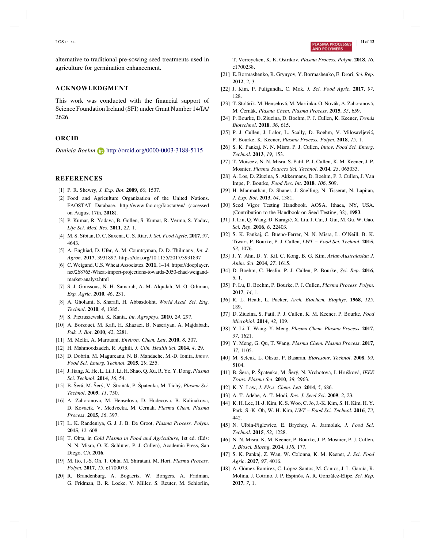alternative to traditional pre-sowing seed treatments used in agriculture for germination enhancement.

#### **ACKNOWLEDGMENT**

This work was conducted with the financial support of Science Foundation Ireland (SFI) under Grant Number 14/IA/ 2626.

#### **ORCID**

*Daniela Boehm* http://orcid.org/0000-0003-3188-5115

#### **REFERENCES**

- [1] P. R. Shewry, *J. Exp. Bot*. **2009**, *60*, 1537.
- [2] Food and Agriculture Organization of the United Nations. FAOSTAT Database. http://www.fao.org/faostat/en/ (accessed on August 17th, **2018**).
- [3] P. Kumar, R. Yadava, B. Gollen, S. Kumar, R. Verma, S. Yadav, *Life Sci. Med. Res*. **2011**, *22*, 1.
- [4] M. S. Sibian, D. C. Saxena, C. S. Riar, *J. Sci. Food Agric*. **2017**, *97*, 4643.
- [5] A. Enghiad, D. Ufer, A. M. Countryman, D. D. Thilmany, *Int. J. Agron*. **2017**, 3931897. https://doi.org/10.1155/2017/3931897
- [6] C. Weigand, U.S. Wheat Associates. **2011**, 1–14. https://docplayer. net/268765-Wheat-import-projections-towards-2050-chad-weigandmarket-analyst.html
- [7] S. J. Goussous, N. H. Samarah, A. M. Alqudah, M. O. Othman, *Exp. Agric*. **2010**, *46*, 231.
- [8] A. Gholami, S. Sharafi, H. Abbasdokht, *World Acad. Sci. Eng. Technol*. **2010**, *4*, 1385.
- [9] S. Pietruszewski, K. Kania, *Int. Agrophys*. **2010**, *24*, 297.
- [10] A. Borzouei, M. Kafi, H. Khazaei, B. Naseriyan, A. Majdabadi, *Pak. J. Bot*. **2010**, *42*, 2281.
- [11] M. Melki, A. Marouani, *Environ. Chem. Lett*. **2010**, *8*, 307.
- [12] H. Mahmoodzadeh, R. Aghili, *J. Clin. Health Sci*. **2014**, *4*, 29.
- [13] D. Dobrin, M. Magureanu, N. B. Mandache, M.-D. Ionita, *Innov. Food Sci. Emerg. Technol*. **2015**, *29*, 255.
- [14] J. Jiang, X. He, L. Li, J. Li, H. Shao, Q. Xu, R. Ye, Y. Dong, *Plasma Sci. Technol*. **2014**, *16*, 54.
- [15] B. Šerá, M. Šerý, V. Štrañák, P. Špatenka, M. Tichý, *Plasma Sci. Technol*. **2009**, *11*, 750.
- [16] A. Zahoranova, M. Henselova, D. Hudecova, B. Kalinakova, D. Kovacik, V. Medvecka, M. Cernak, *Plasma Chem. Plasma Process*. **2015**, *36*, 397.
- [17] L. K. Randeniya, G. J. J. B. De Groot, *Plasma Process. Polym*. **2015**, *12*, 608.
- [18] T. Ohta, in *Cold Plasma in Food and Agriculture*, 1st ed. (Eds: N. N. Misra, O. K. Schlüter, P. J. Cullen), Academic Press, San Diego, CA **2016**.
- [19] M. Ito, J.-S. Oh, T. Ohta, M. Shiratani, M. Hori, *Plasma Process. Polym*. **2017**, *15*, e1700073.
- [20] R. Brandenburg, A. Bogaerts, W. Bongers, A. Fridman, G. Fridman, B. R. Locke, V. Miller, S. Reuter, M. Schiorlin,

T. Verreycken, K. K. Ostrikov, *Plasma Process. Polym*. **2018**, *16*, e1700238.

- [21] E. Bormashenko, R. Grynyov, Y. Bormashenko, E. Drori, *Sci. Rep*. **2012**, *2*, 3.
- [22] J. Kim, P. Puligundla, C. Mok, *J. Sci. Food Agric*. **2017**, *97*, 128.
- [23] T. Stolárik, M. Henselová, M. Martinka, O. Novák, A. Zahoranová, M. Černák, *Plasma Chem. Plasma Process*. **2015**, *35*, 659.
- [24] P. Bourke, D. Ziuzina, D. Boehm, P. J. Cullen, K. Keener, *Trends Biotechnol*. **2018**, *36*, 615.
- [25] P. J. Cullen, J. Lalor, L. Scally, D. Boehm, V. Milosavljević, P. Bourke, K. Keener, *Plasma Process. Polym*. **2018**, *15*, 1.
- [26] S. K. Pankaj, N. N. Misra, P. J. Cullen, *Innov. Food Sci. Emerg. Technol*. **2013**, *19*, 153.
- [27] T. Moiseev, N. N. Misra, S. Patil, P. J. Cullen, K. M. Keener, J. P. Mosnier, *Plasma Sources Sci. Technol*. **2014**, *23*, 065033.
- [28] A. Los, D. Ziuzina, S. Akkermans, D. Boehm, P. J. Cullen, J. Van Impe, P. Bourke, *Food Res. Int*. **2018**, *106*, 509.
- [29] H. Manmathan, D. Shaner, J. Snelling, N. Tisserat, N. Lapitan, *J. Exp. Bot*. **2013**, *64*, 1381.
- [30] Seed Vigor Testing Handbook. AOSA, Ithaca, NY, USA. (Contribution to the Handbook on Seed Testing, 32), **1983**.
- [31] J. Liu, Q. Wang, Đ. Karagić, X. Liu, J. Cui, J. Gui, M. Gu, W. Gao, *Sci. Rep*. **2016**, *6*, 22403.
- [32] S. K. Pankaj, C. Bueno-Ferrer, N. N. Misra, L. O'Neill, B. K. Tiwari, P. Bourke, P. J. Cullen, *LWT − Food Sci. Technol*. **2015**, *63*, 1076.
- [33] J. Y. Ahn, D. Y. Kil, C. Kong, B. G. Kim, *Asian-Australasian J. Anim. Sci*. **2014**, *27*, 1615.
- [34] D. Boehm, C. Heslin, P. J. Cullen, P. Bourke, *Sci. Rep*. **2016**, *6*, 1.
- [35] P. Lu, D. Boehm, P. Bourke, P. J. Cullen, *Plasma Process. Polym*. **2017**, *14*, 1.
- [36] R. L. Heath, L. Packer, *Arch. Biochem. Biophys*. **1968**, *125*, 189.
- [37] D. Ziuzina, S. Patil, P. J. Cullen, K. M. Keener, P. Bourke, *Food Microbiol*. **2014**, *42*, 109.
- [38] Y. Li, T. Wang, Y. Meng, *Plasma Chem. Plasma Process*. **2017**, *37*, 1621.
- [39] Y. Meng, G. Qu, T. Wang, *Plasma Chem. Plasma Process*. **2017**, *37*, 1105.
- [40] M. Selcuk, L. Oksuz, P. Basaran, *Bioresour. Technol*. **2008**, *99*, 5104.
- [41] B. Šerá, P. Špatenka, M. Šerý, N. Vrchotová, I. Hrušková, *IEEE Trans. Plasma Sci*. **2010**, *38*, 2963.
- [42] K. Y. Law, *J. Phys. Chem. Lett*. **2014**, *5*, 686.
- [43] A. T. Adebe, A. T. Modi, *Res. J. Seed Sci*. **2009**, *2*, 23.
- [44] K. H. Lee, H.-J. Kim, K. S. Woo, C. Jo, J.-K. Kim, S. H. Kim, H. Y. Park, S.-K. Oh, W. H. Kim, *LWT – Food Sci. Technol*. **2016**, *73*, 442.
- [45] N. Ulbin-Figlewicz, E. Brychcy, A. Jarmoluk, *J. Food Sci. Technol*. **2015**, *52*, 1228.
- [46] N. N. Misra, K. M. Keener, P. Bourke, J. P. Mosnier, P. J. Cullen, *J. Biosci. Bioeng*. **2014**, *118*, 177.
- [47] S. K. Pankaj, Z. Wan, W. Colonna, K. M. Keener, *J. Sci. Food Agric*. **2017**, *97*, 4016.
- [48] A. Gómez-Ramírez, C. López-Santos, M. Cantos, J. L. García, R. Molina, J. Cotrino, J. P. Espinós, A. R. González-Elipe, *Sci. Rep*. **2017**, *7*, 1.